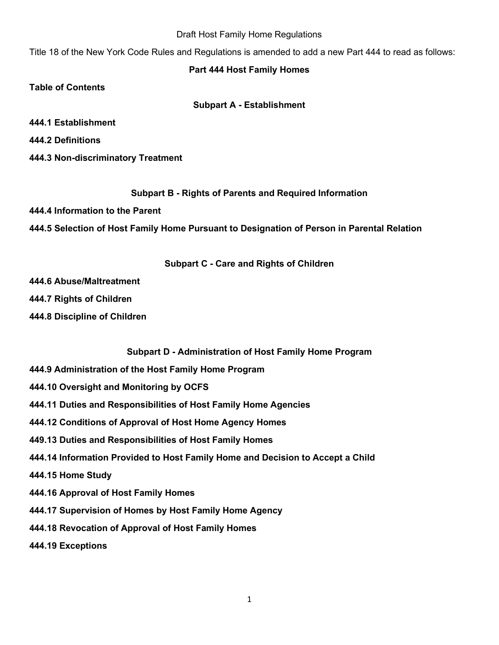#### Draft Host Family Home Regulations

Title 18 of the New York Code Rules and Regulations is amended to add a new Part 444 to read as follows:

### **Part 444 Host Family Homes**

**Table of Contents**

### **Subpart A - Establishment**

**444.1 Establishment** 

**444.2 Definitions** 

**444.3 Non-discriminatory Treatment** 

**Subpart B - Rights of Parents and Required Information**

**444.4 Information to the Parent** 

**444.5 Selection of Host Family Home Pursuant to Designation of Person in Parental Relation**

### **Subpart C - Care and Rights of Children**

**444.6 Abuse/Maltreatment** 

**444.7 Rights of Children**

**444.8 Discipline of Children** 

**Subpart D - Administration of Host Family Home Program**

- **444.9 Administration of the Host Family Home Program**
- **444.10 Oversight and Monitoring by OCFS**
- **444.11 Duties and Responsibilities of Host Family Home Agencies**
- **444.12 Conditions of Approval of Host Home Agency Homes**
- **449.13 Duties and Responsibilities of Host Family Homes**
- **444.14 Information Provided to Host Family Home and Decision to Accept a Child**

**444.15 Home Study** 

- **444.16 Approval of Host Family Homes**
- **444.17 Supervision of Homes by Host Family Home Agency**
- **444.18 Revocation of Approval of Host Family Homes**

**444.19 Exceptions**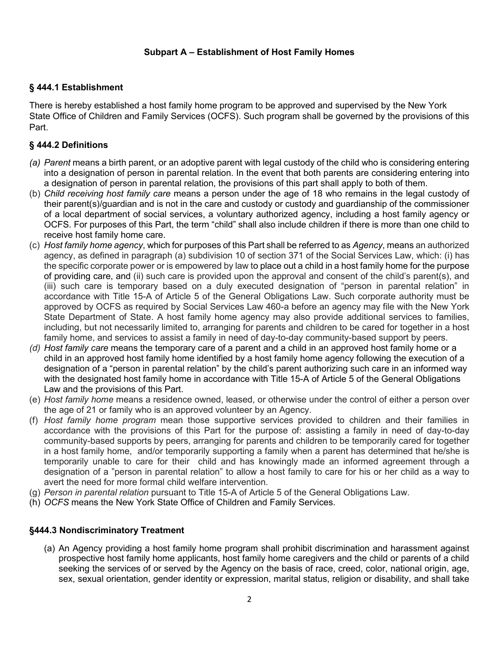## **Subpart A – Establishment of Host Family Homes**

### **§ 444.1 Establishment**

There is hereby established a host family home program to be approved and supervised by the New York State Office of Children and Family Services (OCFS). Such program shall be governed by the provisions of this Part.

### **§ 444.2 Definitions**

- *(a) Parent* means a birth parent, or an adoptive parent with legal custody of the child who is considering entering into a designation of person in parental relation. In the event that both parents are considering entering into a designation of person in parental relation, the provisions of this part shall apply to both of them.
- (b) *Child receiving host family care* means a person under the age of 18 who remains in the legal custody of their parent(s)/guardian and is not in the care and custody or custody and guardianship of the commissioner of a local department of social services, a voluntary authorized agency, including a host family agency or OCFS. For purposes of this Part, the term "child" shall also include children if there is more than one child to receive host family home care.
- (c) *Host family home agency*, which for purposes of this Part shall be referred to as *Agency*, means an authorized agency, as defined in paragraph (a) subdivision 10 of section 371 of the Social Services Law, which: (i) has the specific corporate power or is empowered by law to place out a child in a host family home for the purpose of providing care, and (ii) such care is provided upon the approval and consent of the child's parent(s), and (iii) such care is temporary based on a duly executed designation of "person in parental relation" in accordance with Title 15-A of Article 5 of the General Obligations Law. Such corporate authority must be approved by OCFS as required by Social Services Law 460-a before an agency may file with the New York State Department of State. A host family home agency may also provide additional services to families, including, but not necessarily limited to, arranging for parents and children to be cared for together in a host family home, and services to assist a family in need of day-to-day community-based support by peers.
- *(d) Host family care* means the temporary care of a parent and a child in an approved host family home or a child in an approved host family home identified by a host family home agency following the execution of a designation of a "person in parental relation" by the child's parent authorizing such care in an informed way with the designated host family home in accordance with Title 15-A of Article 5 of the General Obligations Law and the provisions of this Part.
- (e) *Host family home* means a residence owned, leased, or otherwise under the control of either a person over the age of 21 or family who is an approved volunteer by an Agency.
- (f) *Host family home program* mean those supportive services provided to children and their families in accordance with the provisions of this Part for the purpose of: assisting a family in need of day-to-day community-based supports by peers, arranging for parents and children to be temporarily cared for together in a host family home, and/or temporarily supporting a family when a parent has determined that he/she is temporarily unable to care for their child and has knowingly made an informed agreement through a designation of a "person in parental relation" to allow a host family to care for his or her child as a way to avert the need for more formal child welfare intervention.
- (g) *Person in parental relation* pursuant to Title 15-A of Article 5 of the General Obligations Law.
- (h) *OCFS* means the New York State Office of Children and Family Services.

### **§444.3 Nondiscriminatory Treatment**

(a) An Agency providing a host family home program shall prohibit discrimination and harassment against prospective host family home applicants, host family home caregivers and the child or parents of a child seeking the services of or served by the Agency on the basis of race, creed, color, national origin, age, sex, sexual orientation, gender identity or expression, marital status, religion or disability, and shall take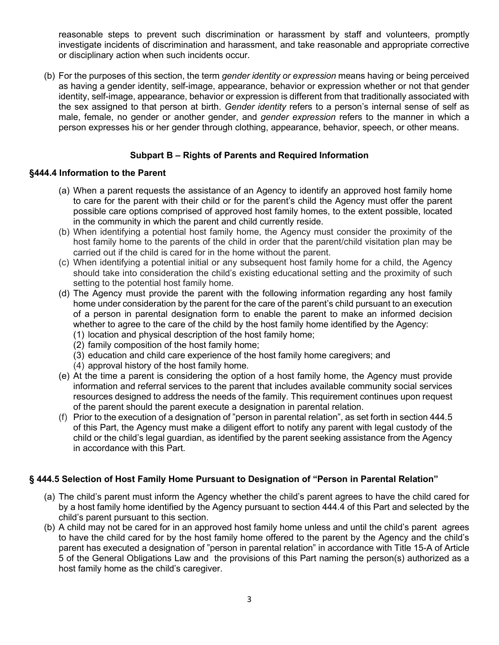reasonable steps to prevent such discrimination or harassment by staff and volunteers, promptly investigate incidents of discrimination and harassment, and take reasonable and appropriate corrective or disciplinary action when such incidents occur.

(b) For the purposes of this section, the term *gender identity or expression* means having or being perceived as having a gender identity, self-image, appearance, behavior or expression whether or not that gender identity, self-image, appearance, behavior or expression is different from that traditionally associated with the sex assigned to that person at birth. *Gender identity* refers to a person's internal sense of self as male, female, no gender or another gender, and *gender expression* refers to the manner in which a person expresses his or her gender through clothing, appearance, behavior, speech, or other means.

## **Subpart B – Rights of Parents and Required Information**

#### **§444.4 Information to the Parent**

- (a) When a parent requests the assistance of an Agency to identify an approved host family home to care for the parent with their child or for the parent's child the Agency must offer the parent possible care options comprised of approved host family homes, to the extent possible, located in the community in which the parent and child currently reside.
- (b) When identifying a potential host family home, the Agency must consider the proximity of the host family home to the parents of the child in order that the parent/child visitation plan may be carried out if the child is cared for in the home without the parent.
- (c) When identifying a potential initial or any subsequent host family home for a child, the Agency should take into consideration the child's existing educational setting and the proximity of such setting to the potential host family home.
- (d) The Agency must provide the parent with the following information regarding any host family home under consideration by the parent for the care of the parent's child pursuant to an execution of a person in parental designation form to enable the parent to make an informed decision whether to agree to the care of the child by the host family home identified by the Agency:
	- (1) location and physical description of the host family home;
	- (2) family composition of the host family home;
	- (3) education and child care experience of the host family home caregivers; and
	- (4) approval history of the host family home.
- (e) At the time a parent is considering the option of a host family home, the Agency must provide information and referral services to the parent that includes available community social services resources designed to address the needs of the family. This requirement continues upon request of the parent should the parent execute a designation in parental relation.
- (f) Prior to the execution of a designation of "person in parental relation", as set forth in section 444.5 of this Part, the Agency must make a diligent effort to notify any parent with legal custody of the child or the child's legal guardian, as identified by the parent seeking assistance from the Agency in accordance with this Part.

### **§ 444.5 Selection of Host Family Home Pursuant to Designation of "Person in Parental Relation"**

- (a) The child's parent must inform the Agency whether the child's parent agrees to have the child cared for by a host family home identified by the Agency pursuant to section 444.4 of this Part and selected by the child's parent pursuant to this section.
- (b) A child may not be cared for in an approved host family home unless and until the child's parent agrees to have the child cared for by the host family home offered to the parent by the Agency and the child's parent has executed a designation of "person in parental relation" in accordance with Title 15-A of Article 5 of the General Obligations Law and the provisions of this Part naming the person(s) authorized as a host family home as the child's caregiver.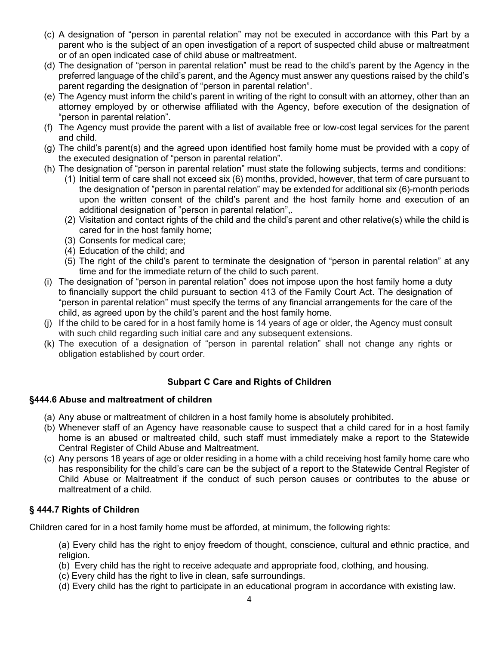- (c) A designation of "person in parental relation" may not be executed in accordance with this Part by a parent who is the subject of an open investigation of a report of suspected child abuse or maltreatment or of an open indicated case of child abuse or maltreatment.
- (d) The designation of "person in parental relation" must be read to the child's parent by the Agency in the preferred language of the child's parent, and the Agency must answer any questions raised by the child's parent regarding the designation of "person in parental relation".
- (e) The Agency must inform the child's parent in writing of the right to consult with an attorney, other than an attorney employed by or otherwise affiliated with the Agency, before execution of the designation of "person in parental relation".
- (f) The Agency must provide the parent with a list of available free or low-cost legal services for the parent and child.
- (g) The child's parent(s) and the agreed upon identified host family home must be provided with a copy of the executed designation of "person in parental relation".
- (h) The designation of "person in parental relation" must state the following subjects, terms and conditions:
	- (1) Initial term of care shall not exceed six (6) months, provided, however, that term of care pursuant to the designation of "person in parental relation" may be extended for additional six (6)-month periods upon the written consent of the child's parent and the host family home and execution of an additional designation of "person in parental relation",.
	- (2) Visitation and contact rights of the child and the child's parent and other relative(s) while the child is cared for in the host family home;
	- (3) Consents for medical care;
	- (4) Education of the child; and
	- (5) The right of the child's parent to terminate the designation of "person in parental relation" at any time and for the immediate return of the child to such parent.
- (i) The designation of "person in parental relation" does not impose upon the host family home a duty to financially support the child pursuant to section 413 of the Family Court Act. The designation of "person in parental relation" must specify the terms of any financial arrangements for the care of the child, as agreed upon by the child's parent and the host family home.
- (j) If the child to be cared for in a host family home is 14 years of age or older, the Agency must consult with such child regarding such initial care and any subsequent extensions.
- (k) The execution of a designation of "person in parental relation" shall not change any rights or obligation established by court order.

# **Subpart C Care and Rights of Children**

### **§444.6 Abuse and maltreatment of children**

- (a) Any abuse or maltreatment of children in a host family home is absolutely prohibited.
- (b) Whenever staff of an Agency have reasonable cause to suspect that a child cared for in a host family home is an abused or maltreated child, such staff must immediately make a report to the Statewide Central Register of Child Abuse and Maltreatment.
- (c) Any persons 18 years of age or older residing in a home with a child receiving host family home care who has responsibility for the child's care can be the subject of a report to the Statewide Central Register of Child Abuse or Maltreatment if the conduct of such person causes or contributes to the abuse or maltreatment of a child.

### **§ 444.7 Rights of Children**

Children cared for in a host family home must be afforded, at minimum, the following rights:

(a) Every child has the right to enjoy freedom of thought, conscience, cultural and ethnic practice, and religion.

- (b) Every child has the right to receive adequate and appropriate food, clothing, and housing.
- (c) Every child has the right to live in clean, safe surroundings.
- (d) Every child has the right to participate in an educational program in accordance with existing law.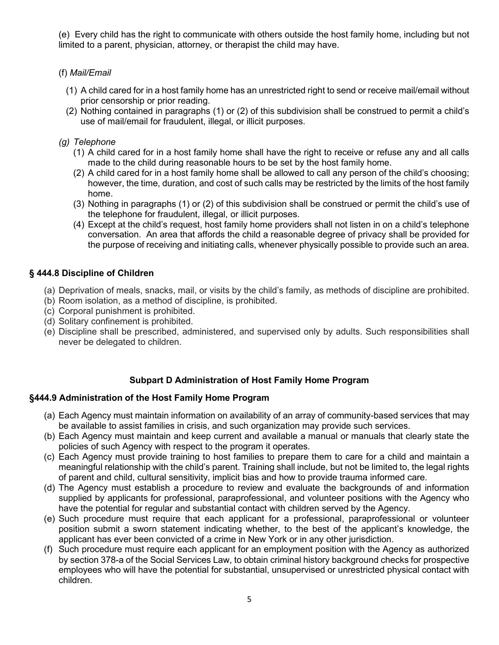(e) Every child has the right to communicate with others outside the host family home, including but not limited to a parent, physician, attorney, or therapist the child may have.

## (f) *Mail/Email*

- (1) A child cared for in a host family home has an unrestricted right to send or receive mail/email without prior censorship or prior reading.
- (2) Nothing contained in paragraphs (1) or (2) of this subdivision shall be construed to permit a child's use of mail/email for fraudulent, illegal, or illicit purposes.

## *(g) Telephone*

- (1) A child cared for in a host family home shall have the right to receive or refuse any and all calls made to the child during reasonable hours to be set by the host family home.
- (2) A child cared for in a host family home shall be allowed to call any person of the child's choosing; however, the time, duration, and cost of such calls may be restricted by the limits of the host family home.
- (3) Nothing in paragraphs (1) or (2) of this subdivision shall be construed or permit the child's use of the telephone for fraudulent, illegal, or illicit purposes.
- (4) Except at the child's request, host family home providers shall not listen in on a child's telephone conversation. An area that affords the child a reasonable degree of privacy shall be provided for the purpose of receiving and initiating calls, whenever physically possible to provide such an area.

## **§ 444.8 Discipline of Children**

- (a) Deprivation of meals, snacks, mail, or visits by the child's family, as methods of discipline are prohibited.
- (b) Room isolation, as a method of discipline, is prohibited.
- (c) Corporal punishment is prohibited.
- (d) Solitary confinement is prohibited.
- (e) Discipline shall be prescribed, administered, and supervised only by adults. Such responsibilities shall never be delegated to children.

# **Subpart D Administration of Host Family Home Program**

# **§444.9 Administration of the Host Family Home Program**

- (a) Each Agency must maintain information on availability of an array of community-based services that may be available to assist families in crisis, and such organization may provide such services.
- (b) Each Agency must maintain and keep current and available a manual or manuals that clearly state the policies of such Agency with respect to the program it operates.
- (c) Each Agency must provide training to host families to prepare them to care for a child and maintain a meaningful relationship with the child's parent. Training shall include, but not be limited to, the legal rights of parent and child, cultural sensitivity, implicit bias and how to provide trauma informed care.
- (d) The Agency must establish a procedure to review and evaluate the backgrounds of and information supplied by applicants for professional, paraprofessional, and volunteer positions with the Agency who have the potential for regular and substantial contact with children served by the Agency.
- (e) Such procedure must require that each applicant for a professional, paraprofessional or volunteer position submit a sworn statement indicating whether, to the best of the applicant's knowledge, the applicant has ever been convicted of a crime in New York or in any other jurisdiction.
- (f) Such procedure must require each applicant for an employment position with the Agency as authorized by section 378-a of the Social Services Law, to obtain criminal history background checks for prospective employees who will have the potential for substantial, unsupervised or unrestricted physical contact with children.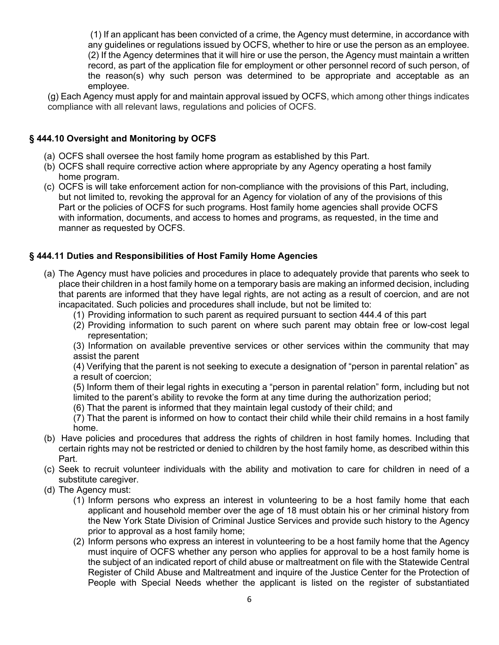(1) If an applicant has been convicted of a crime, the Agency must determine, in accordance with any guidelines or regulations issued by OCFS, whether to hire or use the person as an employee. (2) If the Agency determines that it will hire or use the person, the Agency must maintain a written record, as part of the application file for employment or other personnel record of such person, of the reason(s) why such person was determined to be appropriate and acceptable as an employee.

(g) Each Agency must apply for and maintain approval issued by OCFS, which among other things indicates compliance with all relevant laws, regulations and policies of OCFS.

# **§ 444.10 Oversight and Monitoring by OCFS**

- (a) OCFS shall oversee the host family home program as established by this Part.
- (b) OCFS shall require corrective action where appropriate by any Agency operating a host family home program.
- (c) OCFS is will take enforcement action for non-compliance with the provisions of this Part, including, but not limited to, revoking the approval for an Agency for violation of any of the provisions of this Part or the policies of OCFS for such programs. Host family home agencies shall provide OCFS with information, documents, and access to homes and programs, as requested, in the time and manner as requested by OCFS.

# **§ 444.11 Duties and Responsibilities of Host Family Home Agencies**

- (a) The Agency must have policies and procedures in place to adequately provide that parents who seek to place their children in a host family home on a temporary basis are making an informed decision, including that parents are informed that they have legal rights, are not acting as a result of coercion, and are not incapacitated. Such policies and procedures shall include, but not be limited to:
	- (1) Providing information to such parent as required pursuant to section 444.4 of this part
	- (2) Providing information to such parent on where such parent may obtain free or low-cost legal representation;

(3) Information on available preventive services or other services within the community that may assist the parent

(4) Verifying that the parent is not seeking to execute a designation of "person in parental relation" as a result of coercion;

(5) Inform them of their legal rights in executing a "person in parental relation" form, including but not limited to the parent's ability to revoke the form at any time during the authorization period;

(6) That the parent is informed that they maintain legal custody of their child; and

(7) That the parent is informed on how to contact their child while their child remains in a host family home.

- (b) Have policies and procedures that address the rights of children in host family homes. Including that certain rights may not be restricted or denied to children by the host family home, as described within this Part.
- (c) Seek to recruit volunteer individuals with the ability and motivation to care for children in need of a substitute caregiver.
- (d) The Agency must:
	- (1) Inform persons who express an interest in volunteering to be a host family home that each applicant and household member over the age of 18 must obtain his or her criminal history from the New York State Division of Criminal Justice Services and provide such history to the Agency prior to approval as a host family home;
	- (2) Inform persons who express an interest in volunteering to be a host family home that the Agency must inquire of OCFS whether any person who applies for approval to be a host family home is the subject of an indicated report of child abuse or maltreatment on file with the Statewide Central Register of Child Abuse and Maltreatment and inquire of the Justice Center for the Protection of People with Special Needs whether the applicant is listed on the register of substantiated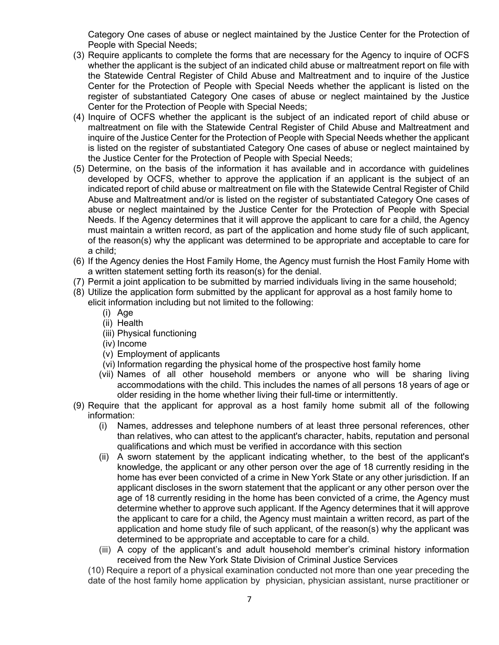Category One cases of abuse or neglect maintained by the Justice Center for the Protection of People with Special Needs;

- (3) Require applicants to complete the forms that are necessary for the Agency to inquire of OCFS whether the applicant is the subject of an indicated child abuse or maltreatment report on file with the Statewide Central Register of Child Abuse and Maltreatment and to inquire of the Justice Center for the Protection of People with Special Needs whether the applicant is listed on the register of substantiated Category One cases of abuse or neglect maintained by the Justice Center for the Protection of People with Special Needs;
- (4) Inquire of OCFS whether the applicant is the subject of an indicated report of child abuse or maltreatment on file with the Statewide Central Register of Child Abuse and Maltreatment and inquire of the Justice Center for the Protection of People with Special Needs whether the applicant is listed on the register of substantiated Category One cases of abuse or neglect maintained by the Justice Center for the Protection of People with Special Needs;
- (5) Determine, on the basis of the information it has available and in accordance with guidelines developed by OCFS, whether to approve the application if an applicant is the subject of an indicated report of child abuse or maltreatment on file with the Statewide Central Register of Child Abuse and Maltreatment and/or is listed on the register of substantiated Category One cases of abuse or neglect maintained by the Justice Center for the Protection of People with Special Needs. If the Agency determines that it will approve the applicant to care for a child, the Agency must maintain a written record, as part of the application and home study file of such applicant, of the reason(s) why the applicant was determined to be appropriate and acceptable to care for a child;
- (6) If the Agency denies the Host Family Home, the Agency must furnish the Host Family Home with a written statement setting forth its reason(s) for the denial.
- (7) Permit a joint application to be submitted by married individuals living in the same household;
- (8) Utilize the application form submitted by the applicant for approval as a host family home to elicit information including but not limited to the following:
	- (i) Age
	- (ii) Health
	- (iii) Physical functioning
	- (iv) Income
	- (v) Employment of applicants
	- (vi) Information regarding the physical home of the prospective host family home
	- (vii) Names of all other household members or anyone who will be sharing living accommodations with the child. This includes the names of all persons 18 years of age or older residing in the home whether living their full-time or intermittently.
- (9) Require that the applicant for approval as a host family home submit all of the following information:
	- (i) Names, addresses and telephone numbers of at least three personal references, other than relatives, who can attest to the applicant's character, habits, reputation and personal qualifications and which must be verified in accordance with this section
	- (ii) A sworn statement by the applicant indicating whether, to the best of the applicant's knowledge, the applicant or any other person over the age of 18 currently residing in the home has ever been convicted of a crime in New York State or any other jurisdiction. If an applicant discloses in the sworn statement that the applicant or any other person over the age of 18 currently residing in the home has been convicted of a crime, the Agency must determine whether to approve such applicant. If the Agency determines that it will approve the applicant to care for a child, the Agency must maintain a written record, as part of the application and home study file of such applicant, of the reason(s) why the applicant was determined to be appropriate and acceptable to care for a child.
	- (iii) A copy of the applicant's and adult household member's criminal history information received from the New York State Division of Criminal Justice Services

(10) Require a report of a physical examination conducted not more than one year preceding the date of the host family home application by physician, physician assistant, nurse practitioner or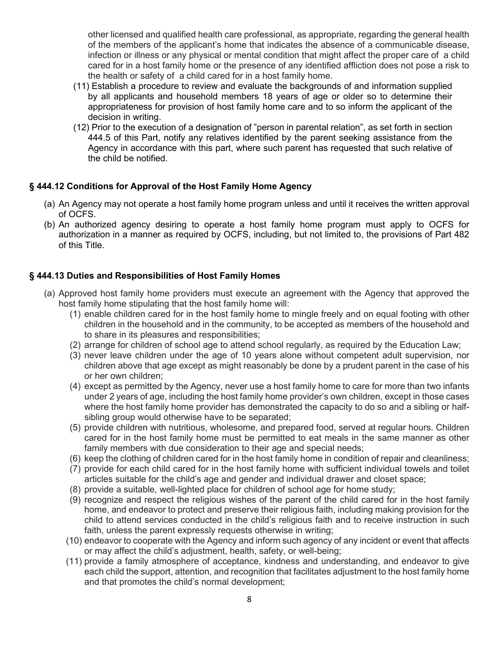other licensed and qualified health care professional, as appropriate, regarding the general health of the members of the applicant's home that indicates the absence of a communicable disease, infection or illness or any physical or mental condition that might affect the proper care of a child cared for in a host family home or the presence of any identified affliction does not pose a risk to the health or safety of a child cared for in a host family home.

- (11) Establish a procedure to review and evaluate the backgrounds of and information supplied by all applicants and household members 18 years of age or older so to determine their appropriateness for provision of host family home care and to so inform the applicant of the decision in writing.
- (12) Prior to the execution of a designation of "person in parental relation", as set forth in section 444.5 of this Part, notify any relatives identified by the parent seeking assistance from the Agency in accordance with this part, where such parent has requested that such relative of the child be notified.

# **§ 444.12 Conditions for Approval of the Host Family Home Agency**

- (a) An Agency may not operate a host family home program unless and until it receives the written approval of OCFS.
- (b) An authorized agency desiring to operate a host family home program must apply to OCFS for authorization in a manner as required by OCFS, including, but not limited to, the provisions of Part 482 of this Title.

# **§ 444.13 Duties and Responsibilities of Host Family Homes**

- (a) Approved host family home providers must execute an agreement with the Agency that approved the host family home stipulating that the host family home will:
	- (1) enable children cared for in the host family home to mingle freely and on equal footing with other children in the household and in the community, to be accepted as members of the household and to share in its pleasures and responsibilities;
	- (2) arrange for children of school age to attend school regularly, as required by the Education Law;
	- (3) never leave children under the age of 10 years alone without competent adult supervision, nor children above that age except as might reasonably be done by a prudent parent in the case of his or her own children;
	- (4) except as permitted by the Agency, never use a host family home to care for more than two infants under 2 years of age, including the host family home provider's own children, except in those cases where the host family home provider has demonstrated the capacity to do so and a sibling or halfsibling group would otherwise have to be separated;
	- (5) provide children with nutritious, wholesome, and prepared food, served at regular hours. Children cared for in the host family home must be permitted to eat meals in the same manner as other family members with due consideration to their age and special needs;
	- (6) keep the clothing of children cared for in the host family home in condition of repair and cleanliness;
	- (7) provide for each child cared for in the host family home with sufficient individual towels and toilet articles suitable for the child's age and gender and individual drawer and closet space;
	- (8) provide a suitable, well-lighted place for children of school age for home study;
	- (9) recognize and respect the religious wishes of the parent of the child cared for in the host family home, and endeavor to protect and preserve their religious faith, including making provision for the child to attend services conducted in the child's religious faith and to receive instruction in such faith, unless the parent expressly requests otherwise in writing;
	- (10) endeavor to cooperate with the Agency and inform such agency of any incident or event that affects or may affect the child's adjustment, health, safety, or well-being;
	- (11) provide a family atmosphere of acceptance, kindness and understanding, and endeavor to give each child the support, attention, and recognition that facilitates adjustment to the host family home and that promotes the child's normal development;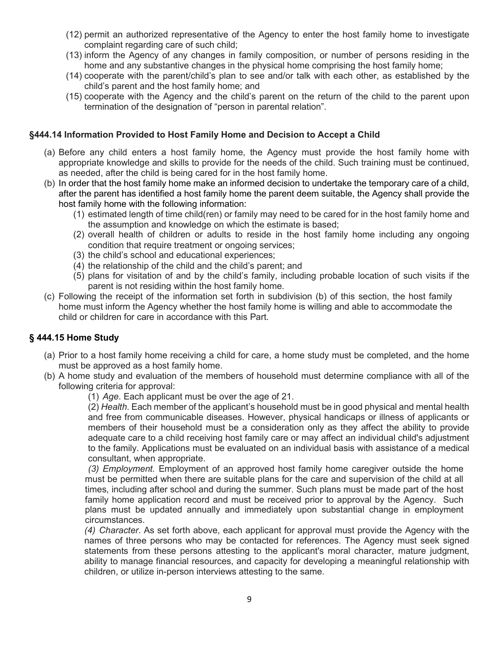- (12) permit an authorized representative of the Agency to enter the host family home to investigate complaint regarding care of such child;
- (13) inform the Agency of any changes in family composition, or number of persons residing in the home and any substantive changes in the physical home comprising the host family home;
- (14) cooperate with the parent/child's plan to see and/or talk with each other, as established by the child's parent and the host family home; and
- (15) cooperate with the Agency and the child's parent on the return of the child to the parent upon termination of the designation of "person in parental relation".

### **§444.14 Information Provided to Host Family Home and Decision to Accept a Child**

- (a) Before any child enters a host family home, the Agency must provide the host family home with appropriate knowledge and skills to provide for the needs of the child. Such training must be continued, as needed, after the child is being cared for in the host family home.
- (b) In order that the host family home make an informed decision to undertake the temporary care of a child, after the parent has identified a host family home the parent deem suitable, the Agency shall provide the host family home with the following information:
	- (1) estimated length of time child(ren) or family may need to be cared for in the host family home and the assumption and knowledge on which the estimate is based;
	- (2) overall health of children or adults to reside in the host family home including any ongoing condition that require treatment or ongoing services;
	- (3) the child's school and educational experiences;
	- (4) the relationship of the child and the child's parent; and
	- (5) plans for visitation of and by the child's family, including probable location of such visits if the parent is not residing within the host family home.
- (c) Following the receipt of the information set forth in subdivision (b) of this section, the host family home must inform the Agency whether the host family home is willing and able to accommodate the child or children for care in accordance with this Part.

# **§ 444.15 Home Study**

- (a) Prior to a host family home receiving a child for care, a home study must be completed, and the home must be approved as a host family home.
- (b) A home study and evaluation of the members of household must determine compliance with all of the following criteria for approval:

(1) *Age*. Each applicant must be over the age of 21.

(2) *Health*. Each member of the applicant's household must be in good physical and mental health and free from communicable diseases. However, physical handicaps or illness of applicants or members of their household must be a consideration only as they affect the ability to provide adequate care to a child receiving host family care or may affect an individual child's adjustment to the family. Applications must be evaluated on an individual basis with assistance of a medical consultant, when appropriate.

*(3) Employment.* Employment of an approved host family home caregiver outside the home must be permitted when there are suitable plans for the care and supervision of the child at all times, including after school and during the summer. Such plans must be made part of the host family home application record and must be received prior to approval by the Agency. Such plans must be updated annually and immediately upon substantial change in employment circumstances.

*(4) Character*. As set forth above, each applicant for approval must provide the Agency with the names of three persons who may be contacted for references. The Agency must seek signed statements from these persons attesting to the applicant's moral character, mature judgment, ability to manage financial resources, and capacity for developing a meaningful relationship with children, or utilize in-person interviews attesting to the same.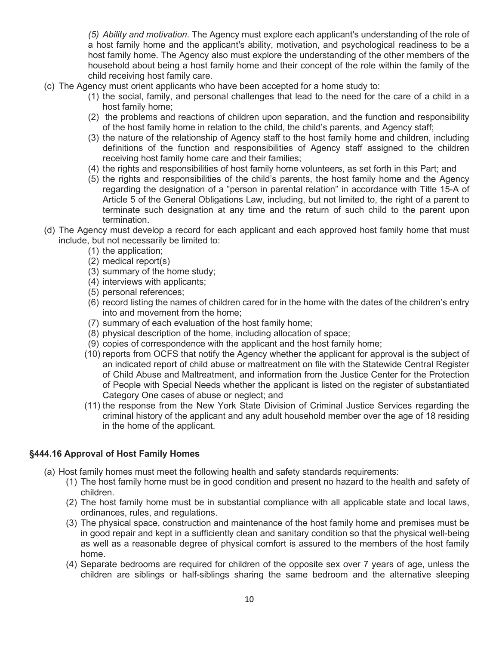*(5) Ability and motivation*. The Agency must explore each applicant's understanding of the role of a host family home and the applicant's ability, motivation, and psychological readiness to be a host family home. The Agency also must explore the understanding of the other members of the household about being a host family home and their concept of the role within the family of the child receiving host family care.

- (c) The Agency must orient applicants who have been accepted for a home study to:
	- (1) the social, family, and personal challenges that lead to the need for the care of a child in a host family home;
	- (2) the problems and reactions of children upon separation, and the function and responsibility of the host family home in relation to the child, the child's parents, and Agency staff;
	- (3) the nature of the relationship of Agency staff to the host family home and children, including definitions of the function and responsibilities of Agency staff assigned to the children receiving host family home care and their families;
	- (4) the rights and responsibilities of host family home volunteers, as set forth in this Part; and
	- (5) the rights and responsibilities of the child's parents, the host family home and the Agency regarding the designation of a "person in parental relation" in accordance with Title 15-A of Article 5 of the General Obligations Law, including, but not limited to, the right of a parent to terminate such designation at any time and the return of such child to the parent upon termination.
- (d) The Agency must develop a record for each applicant and each approved host family home that must include, but not necessarily be limited to:
	- (1) the application;
	- (2) medical report(s)
	- (3) summary of the home study;
	- (4) interviews with applicants;
	- (5) personal references;
	- (6) record listing the names of children cared for in the home with the dates of the children's entry into and movement from the home;
	- (7) summary of each evaluation of the host family home;
	- (8) physical description of the home, including allocation of space;
	- (9) copies of correspondence with the applicant and the host family home;
	- (10) reports from OCFS that notify the Agency whether the applicant for approval is the subject of an indicated report of child abuse or maltreatment on file with the Statewide Central Register of Child Abuse and Maltreatment, and information from the Justice Center for the Protection of People with Special Needs whether the applicant is listed on the register of substantiated Category One cases of abuse or neglect; and
	- (11) the response from the New York State Division of Criminal Justice Services regarding the criminal history of the applicant and any adult household member over the age of 18 residing in the home of the applicant.

#### **§444.16 Approval of Host Family Homes**

- (a) Host family homes must meet the following health and safety standards requirements:
	- (1) The host family home must be in good condition and present no hazard to the health and safety of children.
	- (2) The host family home must be in substantial compliance with all applicable state and local laws, ordinances, rules, and regulations.
	- (3) The physical space, construction and maintenance of the host family home and premises must be in good repair and kept in a sufficiently clean and sanitary condition so that the physical well-being as well as a reasonable degree of physical comfort is assured to the members of the host family home.
	- (4) Separate bedrooms are required for children of the opposite sex over 7 years of age, unless the children are siblings or half-siblings sharing the same bedroom and the alternative sleeping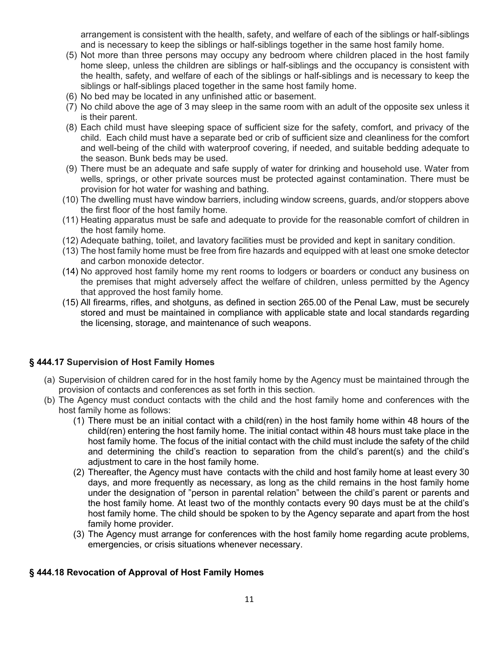arrangement is consistent with the health, safety, and welfare of each of the siblings or half-siblings and is necessary to keep the siblings or half-siblings together in the same host family home.

- (5) Not more than three persons may occupy any bedroom where children placed in the host family home sleep, unless the children are siblings or half-siblings and the occupancy is consistent with the health, safety, and welfare of each of the siblings or half-siblings and is necessary to keep the siblings or half-siblings placed together in the same host family home.
- (6) No bed may be located in any unfinished attic or basement.
- (7) No child above the age of 3 may sleep in the same room with an adult of the opposite sex unless it is their parent.
- (8) Each child must have sleeping space of sufficient size for the safety, comfort, and privacy of the child. Each child must have a separate bed or crib of sufficient size and cleanliness for the comfort and well-being of the child with waterproof covering, if needed, and suitable bedding adequate to the season. Bunk beds may be used.
- (9) There must be an adequate and safe supply of water for drinking and household use. Water from wells, springs, or other private sources must be protected against contamination. There must be provision for hot water for washing and bathing.
- (10) The dwelling must have window barriers, including window screens, guards, and/or stoppers above the first floor of the host family home.
- (11) Heating apparatus must be safe and adequate to provide for the reasonable comfort of children in the host family home.
- (12) Adequate bathing, toilet, and lavatory facilities must be provided and kept in sanitary condition.
- (13) The host family home must be free from fire hazards and equipped with at least one smoke detector and carbon monoxide detector.
- (14) No approved host family home my rent rooms to lodgers or boarders or conduct any business on the premises that might adversely affect the welfare of children, unless permitted by the Agency that approved the host family home.
- (15) All firearms, rifles, and shotguns, as defined in section 265.00 of the Penal Law, must be securely stored and must be maintained in compliance with applicable state and local standards regarding the licensing, storage, and maintenance of such weapons.

### **§ 444.17 Supervision of Host Family Homes**

- (a) Supervision of children cared for in the host family home by the Agency must be maintained through the provision of contacts and conferences as set forth in this section.
- (b) The Agency must conduct contacts with the child and the host family home and conferences with the host family home as follows:
	- (1) There must be an initial contact with a child(ren) in the host family home within 48 hours of the child(ren) entering the host family home. The initial contact within 48 hours must take place in the host family home. The focus of the initial contact with the child must include the safety of the child and determining the child's reaction to separation from the child's parent(s) and the child's adjustment to care in the host family home.
	- (2) Thereafter, the Agency must have contacts with the child and host family home at least every 30 days, and more frequently as necessary, as long as the child remains in the host family home under the designation of "person in parental relation" between the child's parent or parents and the host family home. At least two of the monthly contacts every 90 days must be at the child's host family home. The child should be spoken to by the Agency separate and apart from the host family home provider.
	- (3) The Agency must arrange for conferences with the host family home regarding acute problems, emergencies, or crisis situations whenever necessary.

### **§ 444.18 Revocation of Approval of Host Family Homes**